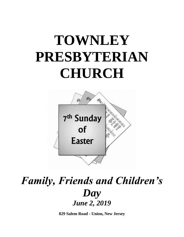# **TOWNLEY PRESBYTERIAN CHURCH**



## *Family, Friends and Children's Day June 2, 2019*

**829 Salem Road - Union, New Jersey**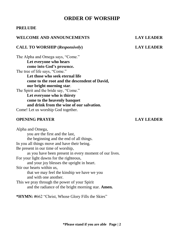### **ORDER OF WORSHIP**

### **PRELUDE**

#### **WELCOME AND ANNOUNCEMENTS LAY LEADER**

#### **CALL TO WORSHIP (***Responsively***) LAY LEADER**

The Alpha and Omega says, "Come." **Let everyone who hears come into God's presence.**  The tree of life says, "Come." **Let those who seek eternal life come to the root and the descendent of David, our bright morning star**. The Spirit and the bride say, "Come." **Let everyone who is thirsty come to the heavenly banquet and drink from the wine of our salvation.**  Come! Let us worship God together.

#### **OPENING PRAYER LAY LEADER**

Alpha and Omega, you are the first and the last, the beginning and the end of all things. In you all things move and have their being. Be present in our time of worship, as you have been present in every moment of our lives. For your light dawns for the righteous, and your joy blesses the upright in heart. Stir our hearts within us, that we may feel the kinship we have we you and with one another. This we pray through the power of your Spirit and the radiance of the bright morning star. **Amen.**

**\*HYMN: #**662 "Christ, Whose Glory Fills the Skies"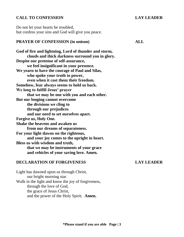#### **CALL TO CONFESSION LAY LEADER**

Do not let your hearts be troubled, but confess your sins and God will give you peace.

#### **PRAYER OF CONFESSION (in unison) ALL**

**God of fire and lightning, Lord of thunder and storm, clouds and thick darkness surround you in glory. Despite our pretense of self-assurance, we feel insignificant in your presence. We yearn to have the courage of Paul and Silas, who spoke your truth to power, even when it cost them their freedom. Somehow, fear always seems to hold us back. We long to fulfill Jesus' prayer that we may be one with you and each other. But our longing cannot overcome the divisions we cling to through our prejudices and our need to set ourselves apart. Forgive us, Holy One. Shake the heavens and awaken us from our dreams of separateness. For your light dawns on the righteous, and your joy comes to the upright in heart. Bless us with wisdom and truth, that we may be instruments of your grace and vehicles of your saving love. Amen.**

#### **DECLARATION OF FORGIVENESS LAY LEADER**

Light has dawned upon us through Christ, our bright morning star. Walk in the light and know the joy of forgiveness, through the love of God, the grace of Jesus Christ, and the power of the Holy Spirit. **Amen.**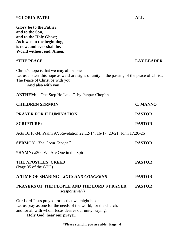**Glory be to the Father, and to the Son, and to the Holy Ghost; As it was in the beginning, is now, and ever shall be, World without end. Amen. \*THE PEACE LAY LEADER** Christ's hope is that we may all be one. Let us answer this hope as we share signs of unity in the passing of the peace of Christ. The Peace of Christ be with you! **And also with you. ANTHEM:** "One Step He Leads" by Pepper Choplin **CHILDREN SERMON C. MANNO PRAYER FOR ILLUMINATION PASTOR SCRIPTURE: PASTOR** Acts 16:16-34; Psalm 97; Revelation 22:12-14, 16-17, 20-21; John 17:20-26 **SERMON** *"The Great Escape"* **PASTOR \*HYMN:** #300 We Are One in the Spirit **THE APOSTLES' CREED PASTOR**  (Page 35 of the GTG) **A TIME OF SHARING –** *JOYS AND CONCERNS* **PASTOR PRAYERS OF THE PEOPLE AND THE LORD'S PRAYER PASTOR (***Responsively***)** Our Lord Jesus prayed for us that we might be one. Let us pray as one for the needs of the world, for the church,

and for all with whom Jesus desires our unity, saying,

**Holy God, hear our prayer.** 

**\*Please stand if you are able Page | 4**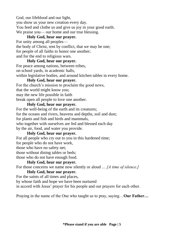God, our lifeblood and our light,

you show us your new creation every day.

You feed and clothe us and give us joy in your good earth.

We praise you— our home and our true blessing.

### **Holy God, hear our prayer.**

For unity among all peoples the body of Christ, rent by conflict, that we may be one; for people of all faiths to honor one another; and for the end to religious wars.

#### **Holy God, hear our prayer.**

For peace among nations, between tribes, on school yards, in academic halls,

within legislative bodies, and around kitchen tables in every home.

### **Holy God, hear our prayer.**

For the church's mission to proclaim the good news, that the world might know you; may the new life possible in faith break open all people to love one another.

### **Holy God, hear our prayer.**

For the well-being of the earth and its creatures; for the oceans and rivers, heavens and depths, soil and dust; for plants and fish and birds and mammals, who together with ourselves are fed and blessed each day by the air, food, and water you provide.

### **Holy God, hear our prayer.**

For all people who cry out to you in this hardened time; for people who do not have work, those who have no safety net; those without dining tables or beds; those who do not have enough food.

### **Holy God, hear our prayer.**

For those concerns we name now silently or aloud *… [A time of silence.]*

#### **Holy God, hear our prayer.**

For the saints of all times and places,

by whose faith and hope we have been nurtured

in accord with Jesus' prayer for his people and our prayers for each other.

Praying in the name of the One who taught us to pray, saying…**Our Father…**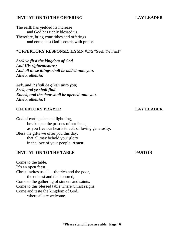#### **INVITATION TO THE OFFERING LAY LEADER**

The earth has yielded its increase and God has richly blessed us. Therefore, bring your tithes and offerings and come into God's courts with praise.

### **\*OFFERTORY RESPONSE: HYMN #175** "Seek Ye First"

*Seek ye first the kingdom of God And His righteousness; And all these things shall be added unto you. Allelu, alleluia!*

*Ask, and it shall be given unto you; Seek, and ye shall find. Knock, and the door shall be opened unto you. Allelu, alleluia!!*

### **OFFERTORY PRAYER LAY LEADER**

God of earthquake and lightning, break open the prisons of our fears, as you free our hearts to acts of loving generosity. Bless the gifts we offer you this day, that all may behold your glory in the love of your people. **Amen.**

### **INVITATION TO THE TABLE PASTOR**

Come to the table. It's an open feast. Christ invites us all— the rich and the poor, the outcast and the honored, Come to the gathering of sinners and saints. Come to this blessed table where Christ reigns. Come and taste the kingdom of God, where all are welcome.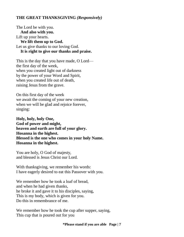### **THE GREAT THANKSGIVING** *(Responsively)*

The Lord be with you. **And also with you.**  Lift up your hearts. **We lift them up to God.**  Let us give thanks to our loving God. **It is right to give our thanks and praise.**

This is the day that you have made, O Lord the first day of the week, when you created light out of darkness by the power of your Word and Spirit, when you created life out of death, raising Jesus from the grave.

On this first day of the week we await the coming of your new creation, when we will be glad and rejoice forever, singing:

**Holy, holy, holy One, God of power and might, heaven and earth are full of your glory. Hosanna in the highest. Blessed is the one who comes in your holy Name. Hosanna in the highest.**

You are holy, O God of majesty, and blessed is Jesus Christ our Lord.

With thanksgiving, we remember his words: I have eagerly desired to eat this Passover with you.

We remember how he took a loaf of bread, and when he had given thanks, he broke it and gave it to his disciples, saying, This is my body, which is given for you. Do this in remembrance of me.

We remember how he took the cup after supper, saying, This cup that is poured out for you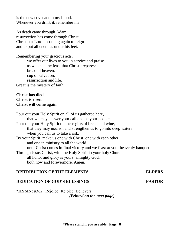is the new covenant in my blood. Whenever you drink it, remember me.

As death came through Adam, resurrection has come through Christ. Christ our Lord is coming again to reign and to put all enemies under his feet.

Remembering your gracious acts, we offer our lives to you in service and praise as we keep the feast that Christ prepares: bread of heaven, cup of salvation, resurrection and life. Great is the mystery of faith:

#### **Christ has died. Christ is risen. Christ will come again.**

Pour out your Holy Spirit on all of us gathered here, that we may answer your call and be your people. Pour out your Holy Spirit on these gifts of bread and wine, that they may nourish and strengthen us to go into deep waters when you call us to take a risk. By your Spirit, make us one with Christ, one with each other, and one in ministry to all the world, until Christ comes in final victory and we feast at your heavenly banquet. Through Jesus Christ, with the Holy Spirit in your holy Church, all honor and glory is yours, almighty God, both now and forevermore. Amen.

### **DISTRIBUTION OF THE ELEMENTS ELDERS**

### **DEDICATION OF GOD'S BLESSINGS PASTOR**

**\*HYMN:** #362 "Rejoice! Rejoice, Believers" *(Printed on the next page)*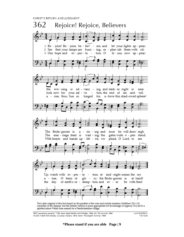CHRIST'S RETURN AND JUDGMENT



TEXT: Laurentius Laurenti, 1700; trans. Sarah Borthwick Findlater, 1854; alt. The Hymnaf 1982 MUSIC: Welsh folk melody; Liwybrau Mollant, 1872; harm. The English Hymnal, 1906

LLANGLOFFAN 7.6.7.6.D